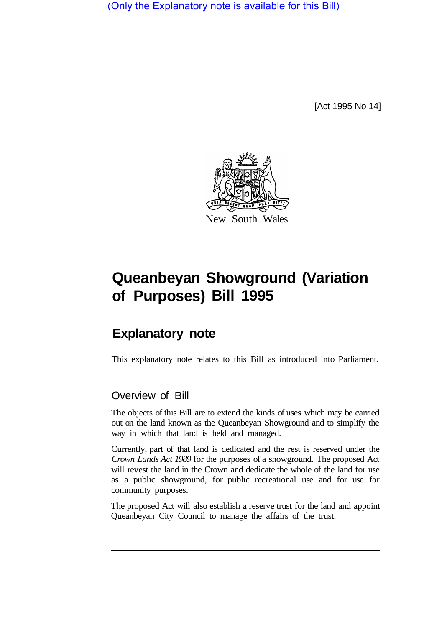(Only the Explanatory note is available for this Bill)

[Act 1995 No 14]



## **Queanbeyan Showground (Variation of Purposes) Bill 1995**

## **Explanatory note**

This explanatory note relates to this Bill as introduced into Parliament.

## Overview of Bill

The objects of this Bill are to extend the kinds of uses which may be carried out on the land known as the Queanbeyan Showground and to simplify the way in which that land is held and managed.

Currently, part of that land is dedicated and the rest is reserved under the *Crown Lands Act 1989* for the purposes of a showground. The proposed Act will revest the land in the Crown and dedicate the whole of the land for use as a public showground, for public recreational use and for use for community purposes.

The proposed Act will also establish a reserve trust for the land and appoint Queanbeyan City Council to manage the affairs of the trust.